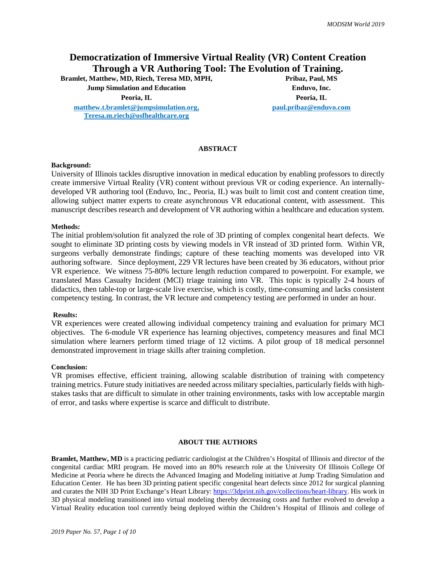# **Democratization of Immersive Virtual Reality (VR) Content Creation Through a VR Authoring Tool: The Evolution of Training. Bramlet, Matthew, MD, Riech, Teresa MD, MPH,**

**Jump Simulation and Education Enduvo, Inc.**

**[matthew.t.bramlet@jumpsimulation.org,](mailto:matthew.t.bramlet@jumpsimulation.org) [Teresa.m.riech@osfhealthcare.org](mailto:Teresa.m.riech@osfhealthcare.org)**

**Peoria, IL Peoria, IL paul.pribaz@enduvo.com**

# **ABSTRACT**

#### **Background:**

University of Illinois tackles disruptive innovation in medical education by enabling professors to directly create immersive Virtual Reality (VR) content without previous VR or coding experience. An internallydeveloped VR authoring tool (Enduvo, Inc., Peoria, IL) was built to limit cost and content creation time, allowing subject matter experts to create asynchronous VR educational content, with assessment. This manuscript describes research and development of VR authoring within a healthcare and education system.

#### **Methods:**

The initial problem/solution fit analyzed the role of 3D printing of complex congenital heart defects. We sought to eliminate 3D printing costs by viewing models in VR instead of 3D printed form. Within VR, surgeons verbally demonstrate findings; capture of these teaching moments was developed into VR authoring software. Since deployment, 229 VR lectures have been created by 36 educators, without prior VR experience. We witness 75-80% lecture length reduction compared to powerpoint. For example, we translated Mass Casualty Incident (MCI) triage training into VR. This topic is typically 2-4 hours of didactics, then table-top or large-scale live exercise, which is costly, time-consuming and lacks consistent competency testing. In contrast, the VR lecture and competency testing are performed in under an hour.

#### **Results:**

VR experiences were created allowing individual competency training and evaluation for primary MCI objectives. The 6-module VR experience has learning objectives, competency measures and final MCI simulation where learners perform timed triage of 12 victims. A pilot group of 18 medical personnel demonstrated improvement in triage skills after training completion.

# **Conclusion:**

VR promises effective, efficient training, allowing scalable distribution of training with competency training metrics. Future study initiatives are needed across military specialties, particularly fields with highstakes tasks that are difficult to simulate in other training environments, tasks with low acceptable margin of error, and tasks where expertise is scarce and difficult to distribute.

### **ABOUT THE AUTHORS**

**Bramlet, Matthew, MD** is a practicing pediatric cardiologist at the Children's Hospital of Illinois and director of the congenital cardiac MRI program. He moved into an 80% research role at the University Of Illinois College Of Medicine at Peoria where he directs the Advanced Imaging and Modeling initiative at Jump Trading Simulation and Education Center. He has been 3D printing patient specific congenital heart defects since 2012 for surgical planning and curates the NIH 3D Print Exchange's Heart Library[: https://3dprint.nih.gov/collections/heart-library.](https://3dprint.nih.gov/collections/heart-library) His work in 3D physical modeling transitioned into virtual modeling thereby decreasing costs and further evolved to develop a Virtual Reality education tool currently being deployed within the Children's Hospital of Illinois and college of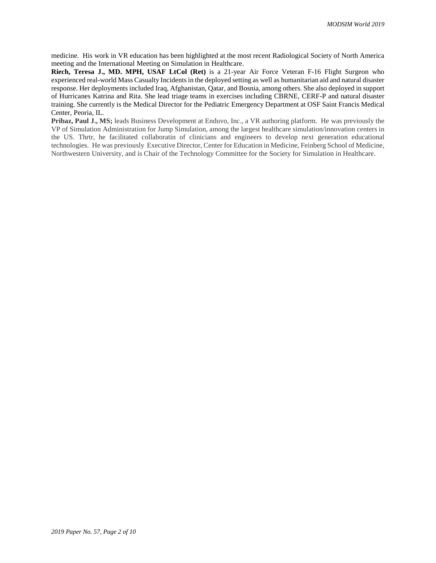medicine. His work in VR education has been highlighted at the most recent Radiological Society of North America meeting and the International Meeting on Simulation in Healthcare.

**Riech, Teresa J., MD. MPH, USAF LtCol (Ret)** is a 21-year Air Force Veteran F-16 Flight Surgeon who experienced real-world Mass Casualty Incidents in the deployed setting as well as humanitarian aid and natural disaster response. Her deployments included Iraq, Afghanistan, Qatar, and Bosnia, among others. She also deployed in support of Hurricanes Katrina and Rita. She lead triage teams in exercises including CBRNE, CERF-P and natural disaster training. She currently is the Medical Director for the Pediatric Emergency Department at OSF Saint Francis Medical Center, Peoria, IL.

**Pribaz, Paul J., MS;** leads Business Development at Enduvo, Inc., a VR authoring platform. He was previously the VP of Simulation Administration for Jump Simulation, among the largest healthcare simulation/innovation centers in the US. Thrtr, he facilitated collaboratin of clinicians and engineers to develop next generation educational technologies. He was previously Executive Director, Center for Education in Medicine, Feinberg School of Medicine, Northwestern University, and is Chair of the Technology Committee for the Society for Simulation in Healthcare.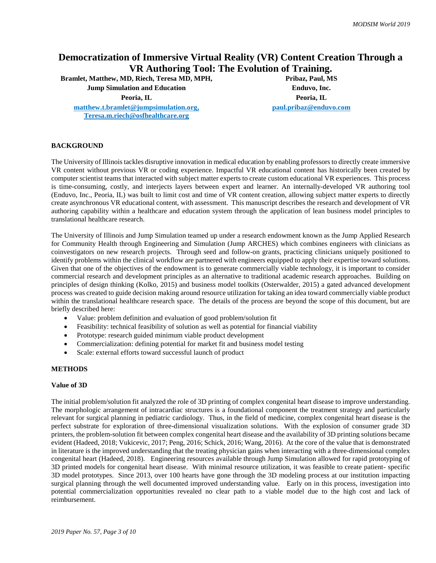# **Democratization of Immersive Virtual Reality (VR) Content Creation Through a VR Authoring Tool: The Evolution of Training.**

**Bramlet, Matthew, MD, Riech, Teresa MD, MPH,** 

**Jump Simulation and Education Enduvo, Inc.**

**[matthew.t.bramlet@jumpsimulation.org,](mailto:matthew.t.bramlet@jumpsimulation.org) [Teresa.m.riech@osfhealthcare.org](mailto:Teresa.m.riech@osfhealthcare.org)**

**Peoria, IL Peoria, IL paul.pribaz@enduvo.com**

# **BACKGROUND**

The University of Illinois tackles disruptive innovation in medical education by enabling professors to directly create immersive VR content without previous VR or coding experience. Impactful VR educational content has historically been created by computer scientist teams that interacted with subject matter experts to create custom educational VR experiences. This process is time-consuming, costly, and interjects layers between expert and learner. An internally-developed VR authoring tool (Enduvo, Inc., Peoria, IL) was built to limit cost and time of VR content creation, allowing subject matter experts to directly create asynchronous VR educational content, with assessment. This manuscript describes the research and development of VR authoring capability within a healthcare and education system through the application of lean business model principles to translational healthcare research.

The University of Illinois and Jump Simulation teamed up under a research endowment known as the Jump Applied Research for Community Health through Engineering and Simulation (Jump ARCHES) which combines engineers with clinicians as coinvestigators on new research projects. Through seed and follow-on grants, practicing clinicians uniquely positioned to identify problems within the clinical workflow are partnered with engineers equipped to apply their expertise toward solutions. Given that one of the objectives of the endowment is to generate commercially viable technology, it is important to consider commercial research and development principles as an alternative to traditional academic research approaches. Building on principles of design thinking (Kolko, 2015) and business model toolkits (Osterwalder, 2015) a gated advanced development process was created to guide decision making around resource utilization for taking an idea toward commercially viable product within the translational healthcare research space. The details of the process are beyond the scope of this document, but are briefly described here:

- Value: problem definition and evaluation of good problem/solution fit
- Feasibility: technical feasibility of solution as well as potential for financial viability
- Prototype: research guided minimum viable product development
- Commercialization: defining potential for market fit and business model testing
- Scale: external efforts toward successful launch of product

# **METHODS**

#### **Value of 3D**

The initial problem/solution fit analyzed the role of 3D printing of complex congenital heart disease to improve understanding. The morphologic arrangement of intracardiac structures is a foundational component the treatment strategy and particularly relevant for surgical planning in pediatric cardiology. Thus, in the field of medicine, complex congenital heart disease is the perfect substrate for exploration of three-dimensional visualization solutions. With the explosion of consumer grade 3D printers, the problem-solution fit between complex congenital heart disease and the availability of 3D printing solutions became evident (Hadeed, 2018; Vukicevic, 2017; Peng, 2016; Schick, 2016; Wang, 2016). At the core of the value that is demonstrated in literature is the improved understanding that the treating physician gains when interacting with a three-dimensional complex congenital heart (Hadeed, 2018). Engineering resources available through Jump Simulation allowed for rapid prototyping of 3D printed models for congenital heart disease. With minimal resource utilization, it was feasible to create patient- specific 3D model prototypes. Since 2013, over 100 hearts have gone through the 3D modeling process at our institution impacting surgical planning through the well documented improved understanding value. Early on in this process, investigation into potential commercialization opportunities revealed no clear path to a viable model due to the high cost and lack of reimbursement.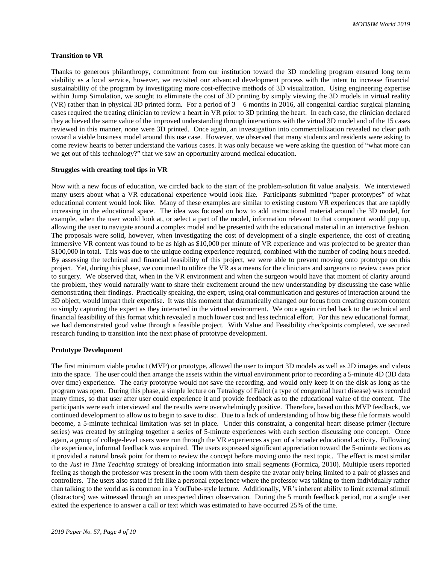#### **Transition to VR**

Thanks to generous philanthropy, commitment from our institution toward the 3D modeling program ensured long term viability as a local service, however, we revisited our advanced development process with the intent to increase financial sustainability of the program by investigating more cost-effective methods of 3D visualization. Using engineering expertise within Jump Simulation, we sought to eliminate the cost of 3D printing by simply viewing the 3D models in virtual reality (VR) rather than in physical 3D printed form. For a period of  $3 - 6$  months in 2016, all congenital cardiac surgical planning cases required the treating clinician to review a heart in VR prior to 3D printing the heart. In each case, the clinician declared they achieved the same value of the improved understanding through interactions with the virtual 3D model and of the 15 cases reviewed in this manner, none were 3D printed. Once again, an investigation into commercialization revealed no clear path toward a viable business model around this use case. However, we observed that many students and residents were asking to come review hearts to better understand the various cases. It was only because we were asking the question of "what more can we get out of this technology?" that we saw an opportunity around medical education.

#### **Struggles with creating tool tips in VR**

Now with a new focus of education, we circled back to the start of the problem-solution fit value analysis. We interviewed many users about what a VR educational experience would look like. Participants submitted "paper prototypes" of what educational content would look like. Many of these examples are similar to existing custom VR experiences that are rapidly increasing in the educational space. The idea was focused on how to add instructional material around the 3D model, for example, when the user would look at, or select a part of the model, information relevant to that component would pop up, allowing the user to navigate around a complex model and be presented with the educational material in an interactive fashion. The proposals were solid, however, when investigating the cost of development of a single experience, the cost of creating immersive VR content was found to be as high as \$10,000 per minute of VR experience and was projected to be greater than \$100,000 in total. This was due to the unique coding experience required, combined with the number of coding hours needed. By assessing the technical and financial feasibility of this project, we were able to prevent moving onto prototype on this project. Yet, during this phase, we continued to utilize the VR as a means for the clinicians and surgeons to review cases prior to surgery. We observed that, when in the VR environment and when the surgeon would have that moment of clarity around the problem, they would naturally want to share their excitement around the new understanding by discussing the case while demonstrating their findings. Practically speaking, the expert, using oral communication and gestures of interaction around the 3D object, would impart their expertise. It was this moment that dramatically changed our focus from creating custom content to simply capturing the expert as they interacted in the virtual environment. We once again circled back to the technical and financial feasibility of this format which revealed a much lower cost and less technical effort. For this new educational format, we had demonstrated good value through a feasible project. With Value and Feasibility checkpoints completed, we secured research funding to transition into the next phase of prototype development.

#### **Prototype Development**

The first minimum viable product (MVP) or prototype, allowed the user to import 3D models as well as 2D images and videos into the space. The user could then arrange the assets within the virtual environment prior to recording a 5-minute 4D (3D data over time) experience. The early prototype would not save the recording, and would only keep it on the disk as long as the program was open. During this phase, a simple lecture on Tetralogy of Fallot (a type of congenital heart disease) was recorded many times, so that user after user could experience it and provide feedback as to the educational value of the content. The participants were each interviewed and the results were overwhelmingly positive. Therefore, based on this MVP feedback, we continued development to allow us to begin to save to disc. Due to a lack of understanding of how big these file formats would become, a 5-minute technical limitation was set in place. Under this constraint, a congenital heart disease primer (lecture series) was created by stringing together a series of 5-minute experiences with each section discussing one concept. Once again, a group of college-level users were run through the VR experiences as part of a broader educational activity. Following the experience, informal feedback was acquired. The users expressed significant appreciation toward the 5-minute sections as it provided a natural break point for them to review the concept before moving onto the next topic. The effect is most similar to the *Just in Time Teaching* strategy of breaking information into small segments (Formica, 2010). Multiple users reported feeling as though the professor was present in the room with them despite the avatar only being limited to a pair of glasses and controllers. The users also stated if felt like a personal experience where the professor was talking to them individually rather than talking to the world as is common in a YouTube-style lecture. Additionally, VR's inherent ability to limit external stimuli (distractors) was witnessed through an unexpected direct observation. During the 5 month feedback period, not a single user exited the experience to answer a call or text which was estimated to have occurred 25% of the time.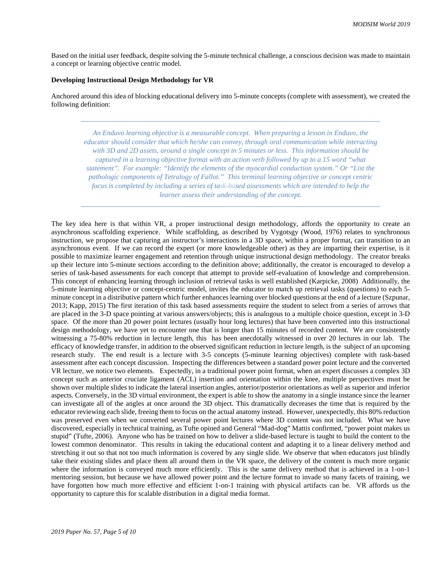Based on the initial user feedback, despite solving the 5-minute technical challenge, a conscious decision was made to maintain a concept or learning objective centric model.

#### **Developing Instructional Design Methodology for VR**

Anchored around this idea of blocking educational delivery into 5-minute concepts (complete with assessment), we created the following definition:

*An Enduvo learning objective is a measurable concept. When preparing a lesson in Enduvo, the educator should consider that which he/she can convey, through oral communication while interacting with 3D and 2D assets, around a single concept in 5 minutes or less. This information should be captured in a learning objective format with an action verb followed by up to a 15 word "what statement". For example: "Identify the elements of the myocardial conduction system." Or "List the pathologic components of Tetralogy of Fallot." This terminal learning objective or concept centric focus is completed by including a series of task-based assessments which are intended to help the learner assess their understanding of the concept.*

The key idea here is that within VR, a proper instructional design methodology, affords the opportunity to create an asynchronous scaffolding experience. While scaffolding, as described by Vygotsgy (Wood, 1976) relates to synchronous instruction, we propose that capturing an instructor's interactions in a 3D space, within a proper format, can transition to an asynchronous event. If we can record the expert (or more knowledgeable other) as they are imparting their expertise, is it possible to maximize learner engagement and retention through unique instructional design methodology. The creator breaks up their lecture into 5-minute sections according to the definition above; additionally, the creator is encouraged to develop a series of task-based assessments for each concept that attempt to provide self-evaluation of knowledge and comprehension. This concept of enhancing learning through inclusion of retrieval tasks is well established (Karpicke, 2008) Additionally, the 5-minute learning objective or concept-centric model, invites the educator to match up retrieval tasks (questions) to each 5 minute concept in a distributive pattern which further enhances learning over blocked questions at the end of a lecture (Szpunar, 2013; Kapp, 2015) The first iteration of this task based assessments require the student to select from a series of arrows that are placed in the 3-D space pointing at various answers/objects; this is analogous to a multiple choice question, except in 3-D space. Of the more than 20 power point lectures (usually hour long lectures) that have been converted into this instructional design methodology, we have yet to encounter one that is longer than 15 minutes of recorded content. We are consistently witnessing a 75-80% reduction in lecture length, this has been anecdotally witnessed in over 20 lectures in our lab. The efficacy of knowledge transfer, in addition to the observed significant reduction in lecture length, is the subject of an upcoming research study. The end result is a lecture with 3-5 concepts (5-minute learning objectives) complete with task-based assessment after each concept discussion. Inspecting the differences between a standard power point lecture and the converted VR lecture, we notice two elements. Expectedly, in a traditional power point format, when an expert discusses a complex 3D concept such as anterior cruciate ligament (ACL) insertion and orientation within the knee, multiple perspectives must be shown over multiple slides to indicate the lateral insertion angles, anterior/posterior orientations as well as superior and inferior aspects. Conversely, in the 3D virtual environment, the expert is able to show the anatomy in a single instance since the learner can investigate all of the angles at once around the 3D object. This dramatically decreases the time that is required by the educator reviewing each slide, freeing them to focus on the actual anatomy instead. However, unexpectedly, this 80% reduction was preserved even when we converted several power point lectures where 3D content was not included. What we have discovered, especially in technical training, as Tufte opined and General "Mad-dog" Mattis confirmed, "power point makes us stupid" (Tufte, 2006). Anyone who has be trained on how to deliver a slide-based lecture is taught to build the content to the lowest common denominator. This results in taking the educational content and adapting it to a linear delivery method and stretching it out so that not too much information is covered by any single slide. We observe that when educators just blindly take their existing slides and place them all around them in the VR space, the delivery of the content is much more organic where the information is conveyed much more efficiently. This is the same delivery method that is achieved in a 1-on-1 mentoring session, but because we have allowed power point and the lecture format to invade so many facets of training, we have forgotten how much more effective and efficient 1-on-1 training with physical artifacts can be. VR affords us the opportunity to capture this for scalable distribution in a digital media format.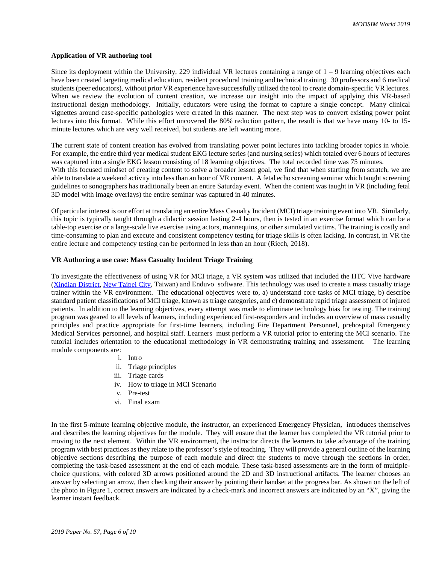#### **Application of VR authoring tool**

Since its deployment within the University, 229 individual VR lectures containing a range of  $1 - 9$  learning objectives each have been created targeting medical education, resident procedural training and technical training. 30 professors and 6 medical students (peer educators), without prior VR experience have successfully utilized the tool to create domain-specific VR lectures. When we review the evolution of content creation, we increase our insight into the impact of applying this VR-based instructional design methodology. Initially, educators were using the format to capture a single concept. Many clinical vignettes around case-specific pathologies were created in this manner. The next step was to convert existing power point lectures into this format. While this effort uncovered the 80% reduction pattern, the result is that we have many 10- to 15 minute lectures which are very well received, but students are left wanting more.

The current state of content creation has evolved from translating power point lectures into tackling broader topics in whole. For example, the entire third year medical student EKG lecture series (and nursing series) which totaled over 6 hours of lectures was captured into a single EKG lesson consisting of 18 learning objectives. The total recorded time was 75 minutes. With this focused mindset of creating content to solve a broader lesson goal, we find that when starting from scratch, we are able to translate a weekend activity into less than an hour of VR content. A fetal echo screening seminar which taught screening guidelines to sonographers has traditionally been an entire Saturday event. When the content was taught in VR (including fetal 3D model with image overlays) the entire seminar was captured in 40 minutes.

Of particular interest is our effort at translating an entire Mass Casualty Incident (MCI) triage training event into VR. Similarly, this topic is typically taught through a didactic session lasting 2-4 hours, then is tested in an exercise format which can be a table-top exercise or a large-scale live exercise using actors, mannequins, or other simulated victims. The training is costly and time-consuming to plan and execute and consistent competency testing for triage skills is often lacking. In contrast, in VR the entire lecture and competency testing can be performed in less than an hour (Riech, 2018).

#### **VR Authoring a use case: Mass Casualty Incident Triage Training**

To investigate the effectiveness of using VR for MCI triage, a VR system was utilized that included the HTC Vive hardware [\(Xindian District,](https://en.wikipedia.org/wiki/Xindian_District) [New Taipei City,](https://en.wikipedia.org/wiki/New_Taipei_City) Taiwan) and Enduvo software. This technology was used to create a mass casualty triage trainer within the VR environment. The educational objectives were to, a) understand core tasks of MCI triage, b) describe standard patient classifications of MCI triage, known as triage categories, and c) demonstrate rapid triage assessment of injured patients. In addition to the learning objectives, every attempt was made to eliminate technology bias for testing. The training program was geared to all levels of learners, including experienced first-responders and includes an overview of mass casualty principles and practice appropriate for first-time learners, including Fire Department Personnel, prehospital Emergency Medical Services personnel, and hospital staff. Learners must perform a VR tutorial prior to entering the MCI scenario. The tutorial includes orientation to the educational methodology in VR demonstrating training and assessment. The learning module components are:

- i. Intro
- ii. Triage principles
- iii. Triage cards
- iv. How to triage in MCI Scenario
- v. Pre-test
- vi. Final exam

In the first 5-minute learning objective module, the instructor, an experienced Emergency Physician, introduces themselves and describes the learning objectives for the module. They will ensure that the learner has completed the VR tutorial prior to moving to the next element. Within the VR environment, the instructor directs the learners to take advantage of the training program with best practices as they relate to the professor's style of teaching. They will provide a general outline of the learning objective sections describing the purpose of each module and direct the students to move through the sections in order, completing the task-based assessment at the end of each module. These task-based assessments are in the form of multiplechoice questions, with colored 3D arrows positioned around the 2D and 3D instructional artifacts. The learner chooses an answer by selecting an arrow, then checking their answer by pointing their handset at the progress bar. As shown on the left of the photo in Figure 1, correct answers are indicated by a check-mark and incorrect answers are indicated by an "X", giving the learner instant feedback.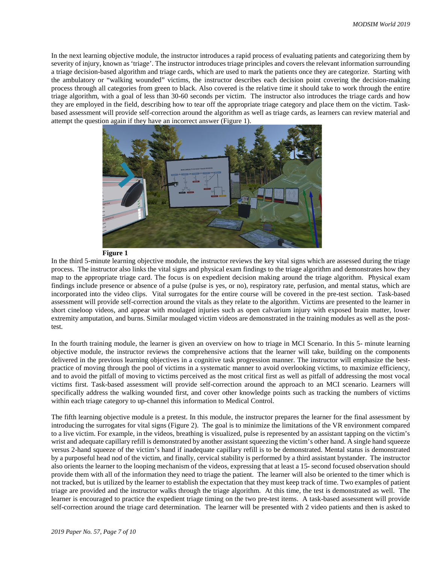In the next learning objective module, the instructor introduces a rapid process of evaluating patients and categorizing them by severity of injury, known as 'triage'. The instructor introduces triage principles and covers the relevant information surrounding a triage decision-based algorithm and triage cards, which are used to mark the patients once they are categorize. Starting with the ambulatory or "walking wounded" victims, the instructor describes each decision point covering the decision-making process through all categories from green to black. Also covered is the relative time it should take to work through the entire triage algorithm, with a goal of less than 30-60 seconds per victim. The instructor also introduces the triage cards and how they are employed in the field, describing how to tear off the appropriate triage category and place them on the victim. Taskbased assessment will provide self-correction around the algorithm as well as triage cards, as learners can review material and attempt the question again if they have an incorrect answer (Figure 1).



**Figure 1**

In the third 5-minute learning objective module, the instructor reviews the key vital signs which are assessed during the triage process. The instructor also links the vital signs and physical exam findings to the triage algorithm and demonstrates how they map to the appropriate triage card. The focus is on expedient decision making around the triage algorithm. Physical exam findings include presence or absence of a pulse (pulse is yes, or no), respiratory rate, perfusion, and mental status, which are incorporated into the video clips. Vital surrogates for the entire course will be covered in the pre-test section. Task-based assessment will provide self-correction around the vitals as they relate to the algorithm. Victims are presented to the learner in short cineloop videos, and appear with moulaged injuries such as open calvarium injury with exposed brain matter, lower extremity amputation, and burns. Similar moulaged victim videos are demonstrated in the training modules as well as the posttest.

In the fourth training module, the learner is given an overview on how to triage in MCI Scenario. In this 5- minute learning objective module, the instructor reviews the comprehensive actions that the learner will take, building on the components delivered in the previous learning objectives in a cognitive task progression manner. The instructor will emphasize the bestpractice of moving through the pool of victims in a systematic manner to avoid overlooking victims, to maximize efficiency, and to avoid the pitfall of moving to victims perceived as the most critical first as well as pitfall of addressing the most vocal victims first. Task-based assessment will provide self-correction around the approach to an MCI scenario. Learners will specifically address the walking wounded first, and cover other knowledge points such as tracking the numbers of victims within each triage category to up-channel this information to Medical Control.

The fifth learning objective module is a pretest. In this module, the instructor prepares the learner for the final assessment by introducing the surrogates for vital signs (Figure 2). The goal is to minimize the limitations of the VR environment compared to a live victim. For example, in the videos, breathing is visualized, pulse is represented by an assistant tapping on the victim's wrist and adequate capillary refill is demonstrated by another assistant squeezing the victim's other hand. A single hand squeeze versus 2-hand squeeze of the victim's hand if inadequate capillary refill is to be demonstrated. Mental status is demonstrated by a purposeful head nod of the victim, and finally, cervical stability is performed by a third assistant bystander. The instructor also orients the learner to the looping mechanism of the videos, expressing that at least a 15- second focused observation should provide them with all of the information they need to triage the patient. The learner will also be oriented to the timer which is not tracked, but is utilized by the learner to establish the expectation that they must keep track of time. Two examples of patient triage are provided and the instructor walks through the triage algorithm. At this time, the test is demonstrated as well. The learner is encouraged to practice the expedient triage timing on the two pre-test items. A task-based assessment will provide self-correction around the triage card determination. The learner will be presented with 2 video patients and then is asked to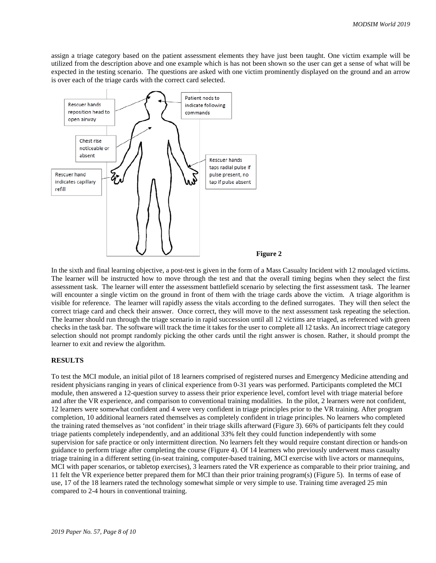assign a triage category based on the patient assessment elements they have just been taught. One victim example will be utilized from the description above and one example which is has not been shown so the user can get a sense of what will be expected in the testing scenario. The questions are asked with one victim prominently displayed on the ground and an arrow is over each of the triage cards with the correct card selected.



In the sixth and final learning objective, a post-test is given in the form of a Mass Casualty Incident with 12 moulaged victims. The learner will be instructed how to move through the test and that the overall timing begins when they select the first assessment task. The learner will enter the assessment battlefield scenario by selecting the first assessment task. The learner will encounter a single victim on the ground in front of them with the triage cards above the victim. A triage algorithm is visible for reference. The learner will rapidly assess the vitals according to the defined surrogates. They will then select the correct triage card and check their answer. Once correct, they will move to the next assessment task repeating the selection. The learner should run through the triage scenario in rapid succession until all 12 victims are triaged, as referenced with green checks in the task bar. The software will track the time it takes for the user to complete all 12 tasks. An incorrect triage category selection should not prompt randomly picking the other cards until the right answer is chosen. Rather, it should prompt the learner to exit and review the algorithm.

#### **RESULTS**

To test the MCI module, an initial pilot of 18 learners comprised of registered nurses and Emergency Medicine attending and resident physicians ranging in years of clinical experience from 0-31 years was performed. Participants completed the MCI module, then answered a 12-question survey to assess their prior experience level, comfort level with triage material before and after the VR experience, and comparison to conventional training modalities. In the pilot, 2 learners were not confident, 12 learners were somewhat confident and 4 were very confident in triage principles prior to the VR training. After program completion, 10 additional learners rated themselves as completely confident in triage principles. No learners who completed the training rated themselves as 'not confident' in their triage skills afterward (Figure 3). 66% of participants felt they could triage patients completely independently, and an additional 33% felt they could function independently with some supervision for safe practice or only intermittent direction. No learners felt they would require constant direction or hands-on guidance to perform triage after completing the course (Figure 4). Of 14 learners who previously underwent mass casualty triage training in a different setting (in-seat training, computer-based training, MCI exercise with live actors or mannequins, MCI with paper scenarios, or tabletop exercises), 3 learners rated the VR experience as comparable to their prior training, and 11 felt the VR experience better prepared them for MCI than their prior training program(s) (Figure 5). In terms of ease of use, 17 of the 18 learners rated the technology somewhat simple or very simple to use. Training time averaged 25 min compared to 2-4 hours in conventional training.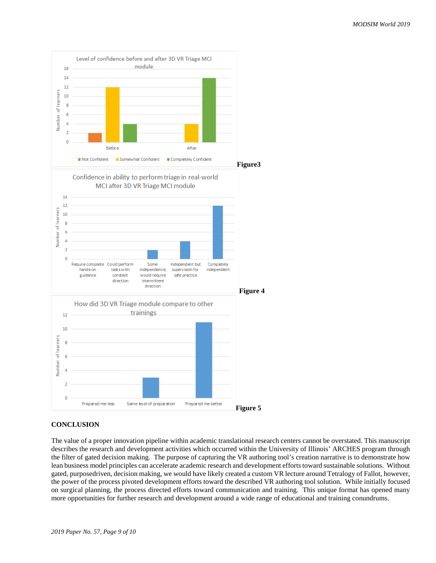

# **CONCLUSION**

The value of a proper innovation pipeline within academic translational research centers cannot be overstated. This manuscript describes the research and development activities which occurred within the University of Illinois' ARCHES program through the filter of gated decision making. The purpose of capturing the VR authoring tool's creation narrative is to demonstrate how lean business model principles can accelerate academic research and development efforts toward sustainable solutions. Without gated, purposedriven, decision making, we would have likely created a custom VR lecture around Tetralogy of Fallot, however, the power of the process pivoted development efforts toward the described VR authoring tool solution. While initially focused on surgical planning, the process directed efforts toward communication and training. This unique format has opened many more opportunities for further research and development around a wide range of educational and training conundrums.